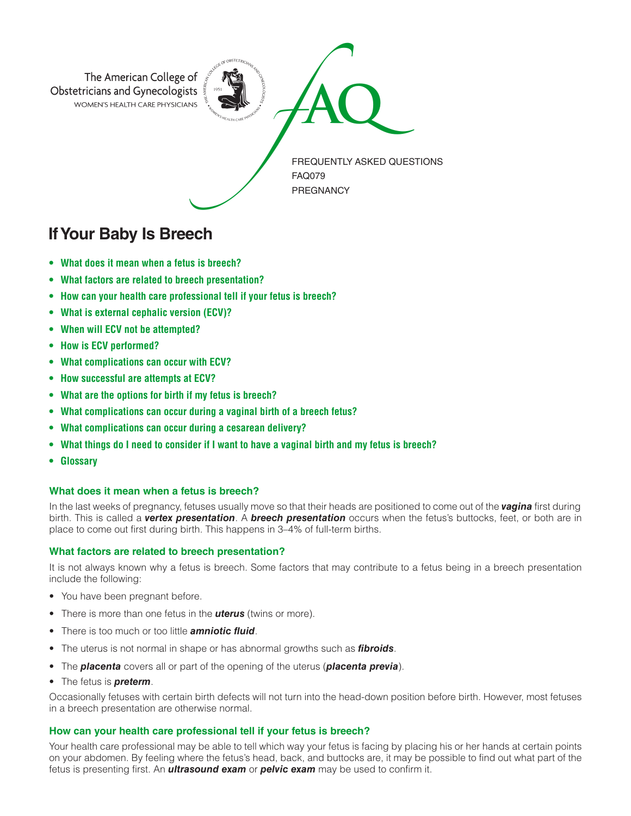

# **If Your Baby Is Breech**

- **• What does it mean when a fetus is breech?**
- **• What factors are related to breech presentation?**
- **• How can your health care professional tell if your fetus is breech?**
- **• What is external cephalic version (ECV)?**
- **• When will ECV not be attempted?**
- **• How is ECV performed?**
- **• What complications can occur with ECV?**
- **• How successful are attempts at ECV?**
- **• What are the options for birth if my fetus is breech?**
- **• What complications can occur during a vaginal birth of a breech fetus?**
- **• What complications can occur during a cesarean delivery?**
- **• What things do I need to consider if I want to have a vaginal birth and my fetus is breech?**
- **• Glossary**

### **What does it mean when a fetus is breech?**

In the last weeks of pregnancy, fetuses usually move so that their heads are positioned to come out of the *vagina* first during birth. This is called a *vertex presentation*. A *breech presentation* occurs when the fetus's buttocks, feet, or both are in place to come out first during birth. This happens in 3–4% of full-term births.

### **What factors are related to breech presentation?**

It is not always known why a fetus is breech. Some factors that may contribute to a fetus being in a breech presentation include the following:

- You have been pregnant before.
- There is more than one fetus in the *uterus* (twins or more).
- There is too much or too little *amniotic fluid*.
- The uterus is not normal in shape or has abnormal growths such as *fibroids*.
- The *placenta* covers all or part of the opening of the uterus (*placenta previa*).
- The fetus is *preterm*.

Occasionally fetuses with certain birth defects will not turn into the head-down position before birth. However, most fetuses in a breech presentation are otherwise normal.

### **How can your health care professional tell if your fetus is breech?**

Your health care professional may be able to tell which way your fetus is facing by placing his or her hands at certain points on your abdomen. By feeling where the fetus's head, back, and buttocks are, it may be possible to find out what part of the fetus is presenting first. An *ultrasound exam* or *pelvic exam* may be used to confirm it.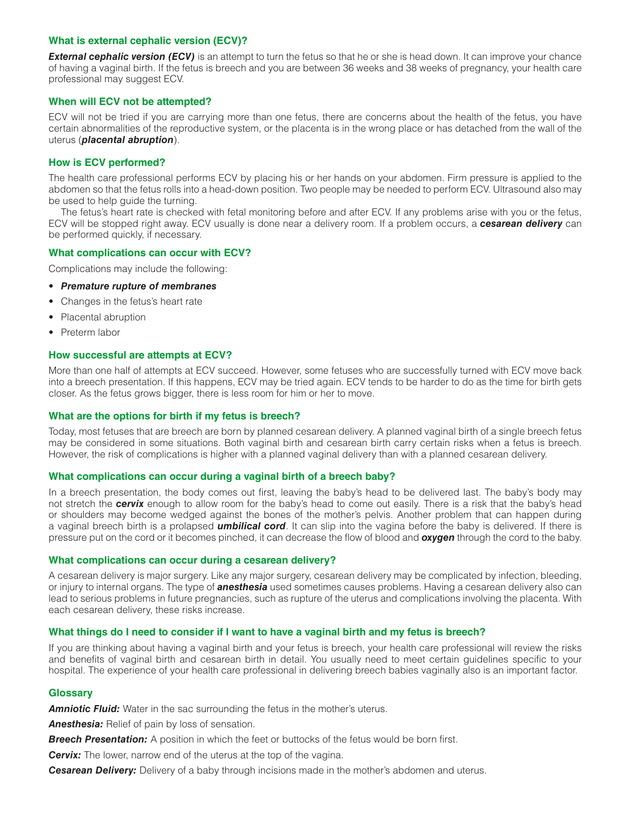### **What is external cephalic version (ECV)?**

**External cephalic version (ECV)** is an attempt to turn the fetus so that he or she is head down. It can improve your chance of having a vaginal birth. If the fetus is breech and you are between 36 weeks and 38 weeks of pregnancy, your health care professional may suggest ECV.

## **When will ECV not be attempted?**

ECV will not be tried if you are carrying more than one fetus, there are concerns about the health of the fetus, you have certain abnormalities of the reproductive system, or the placenta is in the wrong place or has detached from the wall of the uterus (*placental abruption*).

## **How is ECV performed?**

The health care professional performs ECV by placing his or her hands on your abdomen. Firm pressure is applied to the abdomen so that the fetus rolls into a head-down position. Two people may be needed to perform ECV. Ultrasound also may be used to help guide the turning.

The fetus's heart rate is checked with fetal monitoring before and after ECV. If any problems arise with you or the fetus, ECV will be stopped right away. ECV usually is done near a delivery room. If a problem occurs, a *cesarean delivery* can be performed quickly, if necessary.

### **What complications can occur with ECV?**

Complications may include the following:

- *Premature rupture of membranes*
- Changes in the fetus's heart rate
- Placental abruption
- Preterm labor

### **How successful are attempts at ECV?**

More than one half of attempts at ECV succeed. However, some fetuses who are successfully turned with ECV move back into a breech presentation. If this happens, ECV may be tried again. ECV tends to be harder to do as the time for birth gets closer. As the fetus grows bigger, there is less room for him or her to move.

### **What are the options for birth if my fetus is breech?**

Today, most fetuses that are breech are born by planned cesarean delivery. A planned vaginal birth of a single breech fetus may be considered in some situations. Both vaginal birth and cesarean birth carry certain risks when a fetus is breech. However, the risk of complications is higher with a planned vaginal delivery than with a planned cesarean delivery.

#### **What complications can occur during a vaginal birth of a breech baby?**

In a breech presentation, the body comes out first, leaving the baby's head to be delivered last. The baby's body may not stretch the *cervix* enough to allow room for the baby's head to come out easily. There is a risk that the baby's head or shoulders may become wedged against the bones of the mother's pelvis. Another problem that can happen during a vaginal breech birth is a prolapsed *umbilical cord*. It can slip into the vagina before the baby is delivered. If there is pressure put on the cord or it becomes pinched, it can decrease the flow of blood and *oxygen* through the cord to the baby.

### **What complications can occur during a cesarean delivery?**

A cesarean delivery is major surgery. Like any major surgery, cesarean delivery may be complicated by infection, bleeding, or injury to internal organs. The type of *anesthesia* used sometimes causes problems. Having a cesarean delivery also can lead to serious problems in future pregnancies, such as rupture of the uterus and complications involving the placenta. With each cesarean delivery, these risks increase.

### **What things do I need to consider if I want to have a vaginal birth and my fetus is breech?**

If you are thinking about having a vaginal birth and your fetus is breech, your health care professional will review the risks and benefits of vaginal birth and cesarean birth in detail. You usually need to meet certain guidelines specific to your hospital. The experience of your health care professional in delivering breech babies vaginally also is an important factor.

#### **Glossary**

**Amniotic Fluid:** Water in the sac surrounding the fetus in the mother's uterus.

*Anesthesia:* Relief of pain by loss of sensation.

**Breech Presentation:** A position in which the feet or buttocks of the fetus would be born first.

**Cervix:** The lower, narrow end of the uterus at the top of the vagina.

*Cesarean Delivery:* Delivery of a baby through incisions made in the mother's abdomen and uterus.